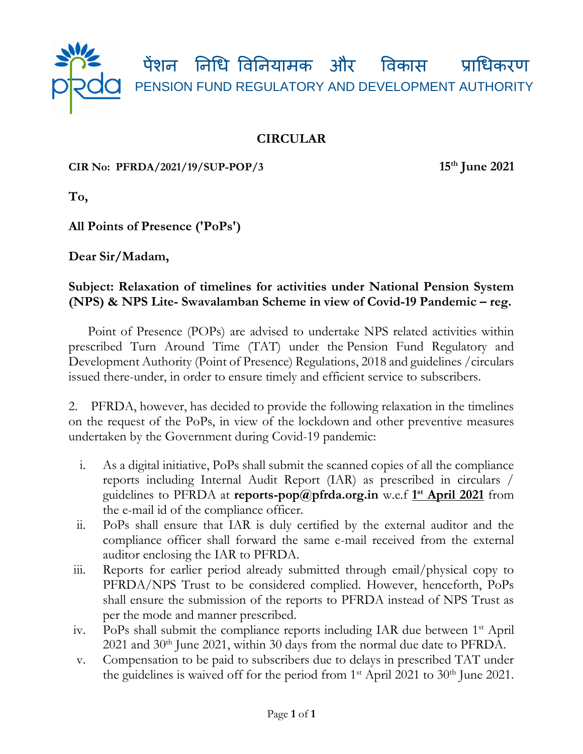

## **CIRCULAR**

**CIR No: PFRDA/2021/19/SUP-POP/3 15th June 2021**

**To,**

**All Points of Presence ('PoPs')** 

**Dear Sir/Madam,**

## **Subject: Relaxation of timelines for activities under National Pension System (NPS) & NPS Lite- Swavalamban Scheme in view of Covid-19 Pandemic – reg.**

 Point of Presence (POPs) are advised to undertake NPS related activities within prescribed Turn Around Time (TAT) under the Pension Fund Regulatory and Development Authority (Point of Presence) Regulations, 2018 and guidelines /circulars issued there-under, in order to ensure timely and efficient service to subscribers.

2. PFRDA, however, has decided to provide the following relaxation in the timelines on the request of the PoPs, in view of the lockdown and other preventive measures undertaken by the Government during Covid-19 pandemic:

- i. As a digital initiative, PoPs shall submit the scanned copies of all the compliance reports including Internal Audit Report (IAR) as prescribed in circulars / guidelines to PFRDA at **reports-pop@pfrda.org.in** w.e.f **1 st April 2021** from the e-mail id of the compliance officer.
- ii. PoPs shall ensure that IAR is duly certified by the external auditor and the compliance officer shall forward the same e-mail received from the external auditor enclosing the IAR to PFRDA.
- iii. Reports for earlier period already submitted through email/physical copy to PFRDA/NPS Trust to be considered complied. However, henceforth, PoPs shall ensure the submission of the reports to PFRDA instead of NPS Trust as per the mode and manner prescribed.
- iv. PoPs shall submit the compliance reports including IAR due between 1st April  $2021$  and  $30<sup>th</sup>$  June 2021, within 30 days from the normal due date to PFRDA.
- v. Compensation to be paid to subscribers due to delays in prescribed TAT under the guidelines is waived off for the period from  $1<sup>st</sup>$  April 2021 to 30<sup>th</sup> June 2021.